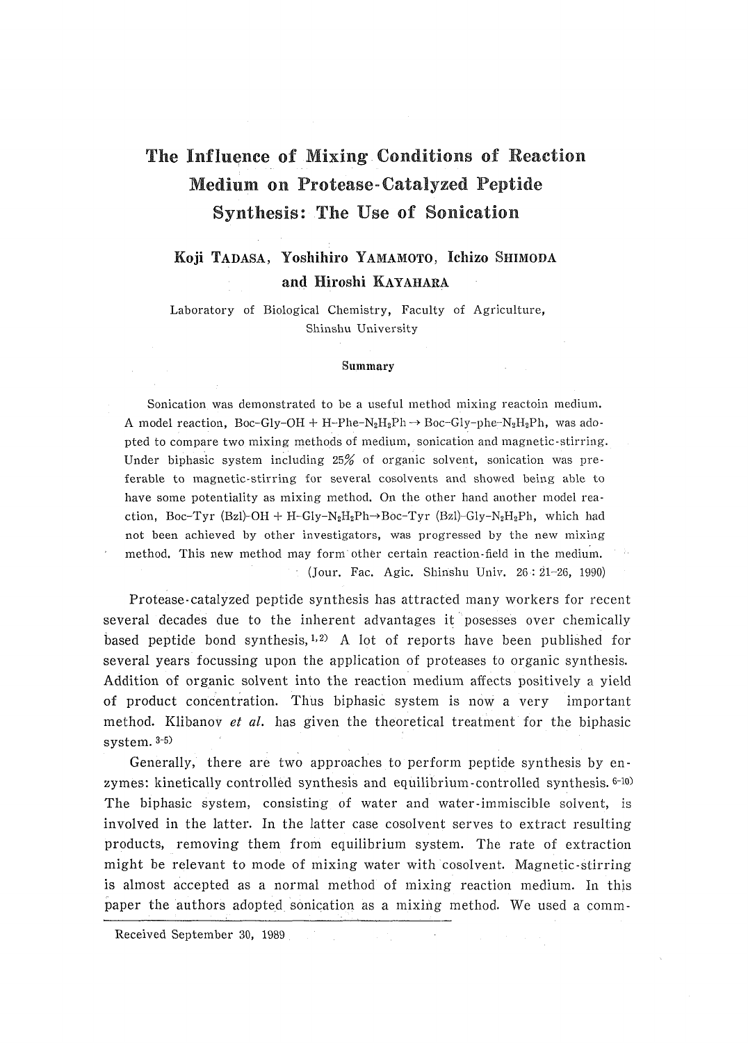# The Influence of Mixing Conditions of Reaction Medium on Protease-Catalyzed Peptide Synthesis: The Use of Sonication

## Koji TADASA, Yoshihiro YAMAMOTO, Ichizo SHIMODA and Hiroshi KAYAHARA

Laboratory of Biological Chemistry, Faculty of Agriculture, Shinshu University

#### Summary

Sonication was demonstrated to be a useful method mixing reactoin medium. A model reaction, Boc-Gly-OH + H-Phe-N<sub>2</sub>H<sub>2</sub>Ph  $\rightarrow$  Boc-Gly-phe-N<sub>2</sub>H<sub>2</sub>Ph, was adopted to compare two mixing methods of medium, sonication and magnetic-stirring. Under biphasic system including 25% of organic solvent, sonication was preferable to magnetic-stirring for several cosolvents and showed being able to have some potentiality as mixing method. On the other hand another model reaction, Boc-Tyr (Bzl)-OH + H-Gly-N<sub>2</sub>H<sub>2</sub>Ph->Boc-Tyr (Bzl)-Gly-N<sub>2</sub>H<sub>2</sub>Ph, which had not been achieved by other investigators, was progressed by the new mixing method. This new method may form other certain reaction-field in the medium. : (Jour. Fac. Agic. Shinshu Univ.  $26:21-26$ , 1990)

Protease-catalyzed peptide synthesis has attracted many workers for recent several decades due to the inherent advantages it posesses over chemically based peptide bond synthesis,  $1,2$  A lot of reports have been published for several years focussing upon the application of proteases to organic synthesis. Addition of organic solvent into the reaction medium affects positively a yield of product concentration. Thus biphasic system is now a very important method. Klibanov et al. has given the theoretical treatment for the biphasic system.  $3-5$ )

Generally, there are two approaches to perform peptide synthesis by enzymes: kinetically controlled synthesis and equilibrium-controlled synthesis.  $6-10$ The biphasic system, consisting of water and water-immiscible solvent, is involved in the latter. In the latter case cosolvent serves to extract resulting products, removing them from equilibrium system. The rate of extraction might be relevant to mode of mixing water with cosolvent. Magnetic stirring is almost accepted as a normal method of mixing reaction medium. In this paper the authors adopted sonication as a mixing method. We used a comm-

Received September 30, 1989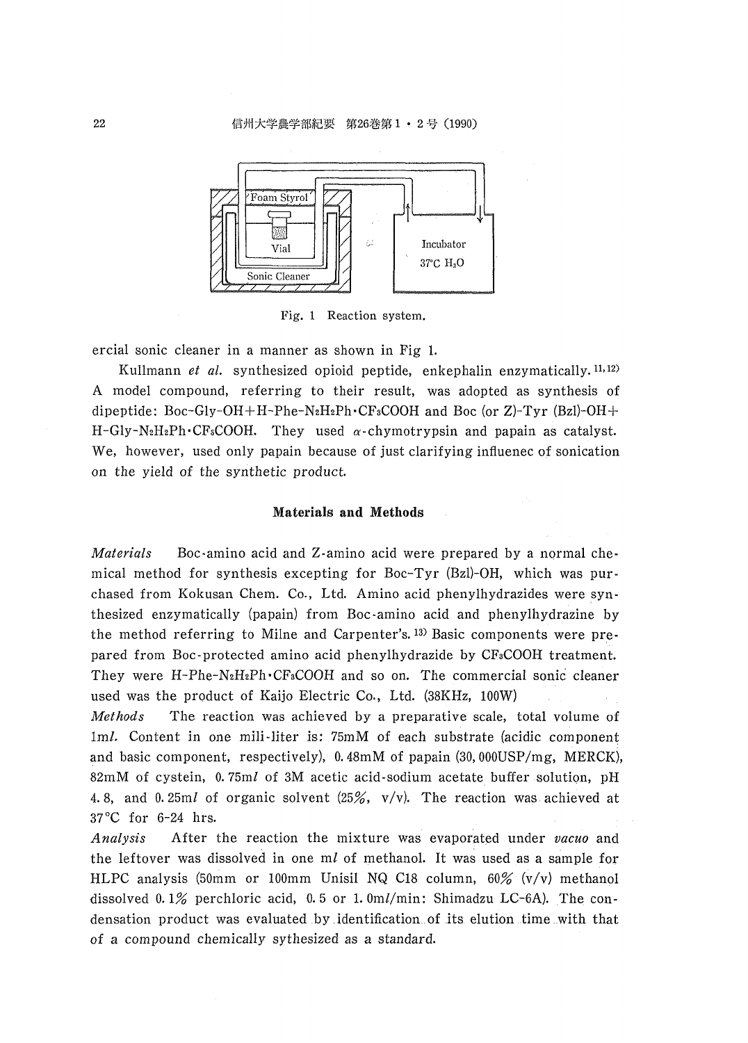

Fig. 1 Reaction system.

ercial sonic cleaner in a manner as shown in Fig 1.

Kullmann et al. synthesized opioid peptide, enkephalin enzymatically.<sup>11,12)</sup> A model compound, referring to their result, was adopted as synthesis of dipeptide: Boc-Gly-OH+H-Phe-N<sub>2</sub>H<sub>2</sub>Ph·CF<sub>3</sub>COOH and Boc (or Z)-Tyr (Bzl)-OH+ H-Gly-N<sub>2</sub>H<sub>2</sub>Ph·CF<sub>3</sub>COOH. They used  $\alpha$ -chymotrypsin and papain as catalyst. We, however, used only papain because of just clarifying influenec of sonication on the yield of the synthetic product.

### Materials and Methods

Materials Boc-amino acid and Z-amino acid were prepared by a normal chemical method for synthesis excepting for Boc-Tyr (Bzl)-OH, which was purchased from Kokusan Chem. Co., Ltd. Amino acid phenylhydrazides were synthesized enzymatically (papain) from Boc-amino acid and phenylhydrazine by the method referring to Milne and Carpenter's.<sup>13</sup> Basic components were prepared from Boc-protected amino acid phenylhydrazide by CF<sub>3</sub>COOH treatment. They were H-Phe-N<sub>2</sub>H<sub>2</sub>Ph·CF<sub>3</sub>COOH and so on. The commercial sonic cleaner used was the product of Kaijo Electric Co., Ltd. (38KHz, 100W)

The reaction was achieved by a preparative scale, total volume of **Methods** 1ml. Content in one mili-liter is: 75mM of each substrate (acidic component and basic component, respectively), 0.48mM of papain (30,000USP/mg, MERCK), 82mM of cystein, 0.75ml of 3M acetic acid-sodium acetate buffer solution, pH 4.8, and 0.25ml of organic solvent  $(25\%, v/v)$ . The reaction was achieved at 37°C for 6-24 hrs.

Analysis After the reaction the mixture was evaporated under vacuo and the leftover was dissolved in one ml of methanol. It was used as a sample for HLPC analysis (50mm or 100mm Unisil NQ C18 column,  $60\%$  (v/v) methanol dissolved 0.1% perchloric acid, 0.5 or 1.0ml/min: Shimadzu LC-6A). The condensation product was evaluated by identification of its elution time with that of a compound chemically sythesized as a standard.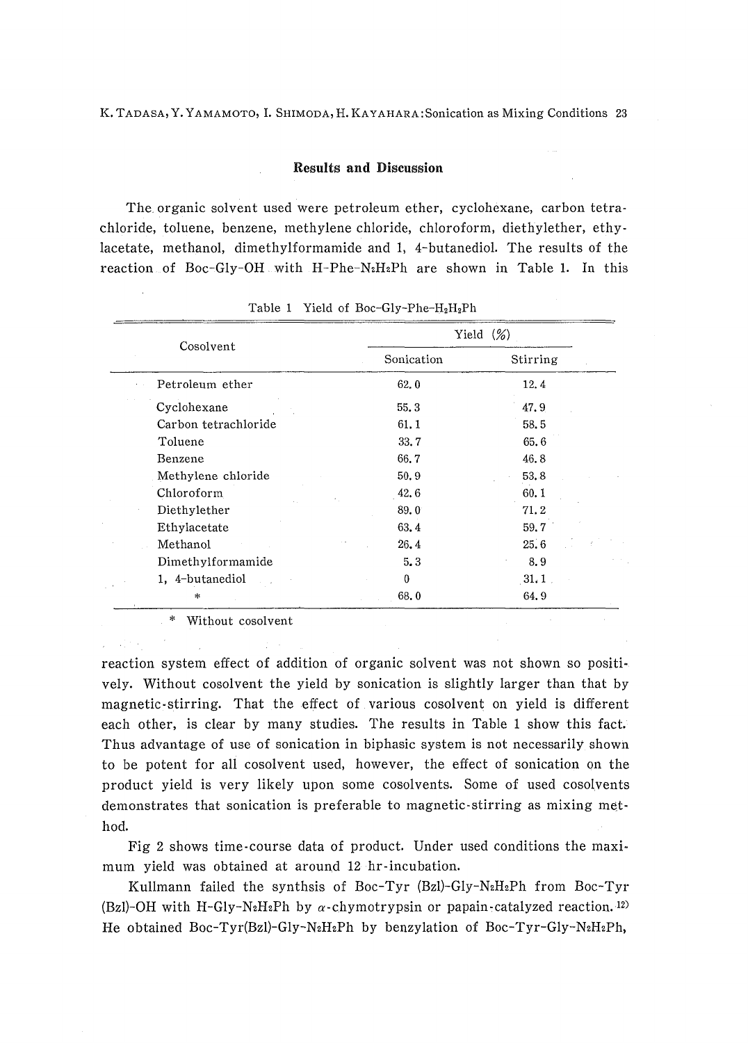### Results and Discussion

 The, organic solvent used were petroleum ether, cyclohexane, carbon tetrachloride, toluene, benzene, methylene chloride, chloroform, diethylether, eth lacetate, methanol, dimethylformamide and 1, 4-butanediol. The results of th reaction of Boc-Gly-OH with H-Phe-N<sub>2</sub>H<sub>2</sub>Ph are shown in Table 1. In thi

| Cosolvent            |            | Yield $(\%)$ |
|----------------------|------------|--------------|
|                      | Sonication | Stirring     |
| Petroleum ether      | 62,0       | 12.4         |
| Cyclohexane          | 55.3       | 47.9         |
| Carbon tetrachloride | 61.1       | 58.5         |
| Toluene              | 33.7       | 65.6         |
| Benzene              | 66.7       | 46.8         |
| Methylene chloride   | 50.9       | 53.8         |
| Chloroform           | 42.6       | 60.1         |
| Diethylether         | 89.0       | 71.2         |
| Ethylacetate         | 63.4       | 59.7         |
| Methanol             | 26, 4      | 25.6         |
| Dimethylformamide    | 5.3        | 8.9          |
| 1. 4-butanediol      | $\bf{0}$   | 31.1         |
| $\ast$               | 68.0       | 64.9         |

Table 1 Yield of Boc-Gly-Phe-H<sub>2</sub>H<sub>2</sub>Ph

\* Without cosolvent

reaction system effect of addition of organic solvent was not shown so positively. Without cosolvent the yield by sonication is slightly larger than that by magnetic-stirring. That the effect of various cosolvent on yield is different each other, is clear by many studies. The results in Table 1 show this fact.' Thus advantage of use of sonication in biphasic system is not necessarily shown to be potent for all cosolvent used, however, the effect of sonication on the product yield is very likely upon some cosolvents. Some of used cosolvents demonstrates that sonication is preferable to magnetic-stirring as mixing method.

 Fig 2 shows time-course data of product, Under used conditions the maximum yield was obtained at around 12 hr-incubation.

Kullmann failed the synthsis of Boc-Tyr (Bzl)-Gly-N<sub>2</sub>H<sub>2</sub>Ph from Boc-Tyr (Bzl)-OH with H-Gly-N<sub>2</sub>H<sub>2</sub>Ph by  $\alpha$ -chymotrypsin or papain-catalyzed reaction.<sup>12)</sup> He obtained Boc-Tyr(Bzl)-Gly-N2H2Ph by benzylation of Boc-Tyr-Gly-N2H2Ph,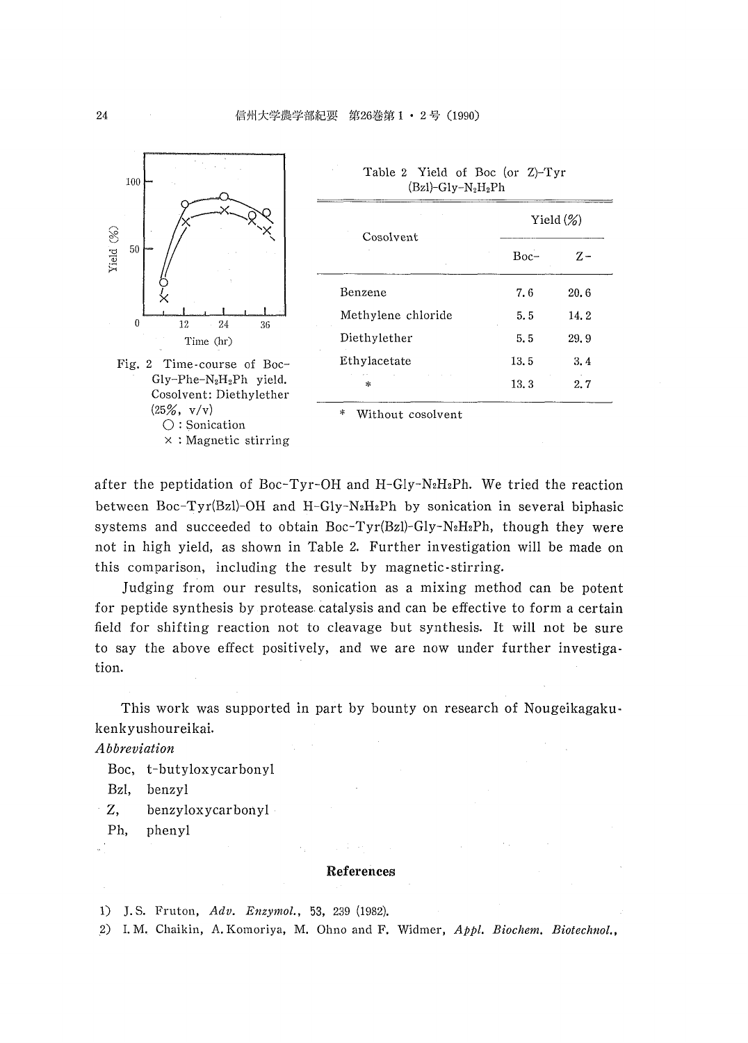

| Cosolvent          | Yield $(\%)$ |      |
|--------------------|--------------|------|
|                    | $Boc-$       | z-   |
| Benzene            | 7.6          | 20.6 |
| Methylene chloride | 5.5          | 14.2 |
| Diethylether       | 5.5          | 29.9 |
| Ethylacetate       | 13.5         | 3.4  |
| ж.                 | 13.3         | 2.7  |

Table 2 Yield of Boc (or Z)-Tyr

Without cosolvent

after the peptidation of Boc-Tyr-OH and H-Gly-N<sub>2</sub>H<sub>2</sub>Ph. We tried the reaction between Boc-Tyr(Bzl)-OH and H-Gly-N<sub>2</sub>H<sub>2</sub>Ph by sonication in several biphasic systems and succeeded to obtain Boc-Tyr(Bzl)-Gly-N<sub>2</sub>H<sub>2</sub>Ph, though they were not in high yield, as shown in Table 2. Further investigation will be made on this comparison, including the result by magnetic stirring.

Judging from our results, sonication as a mixing method can be potent for peptide synthesis by protease catalysis and can be effective to form a certain field for shifting reaction not to cleavage but synthesis. It will not be sure to say the above effect positively, and we are now under further investigation.

This work was supported in part by bounty on research of Nougeikagakukenkyushoureikai.

Abbreviation

Boc, t-butyloxycarbonyl

Bzl. benzyl

- $Z_{\rm{c}}$ benzyloxycarbonyl
- phenyl Ph,

#### References

1) J.S. Fruton, Adv. Enzymol., 53, 239 (1982).

2) I.M. Chaikin, A.Komoriya, M. Ohno and F. Widmer, Appl. Biochem. Biotechnol.,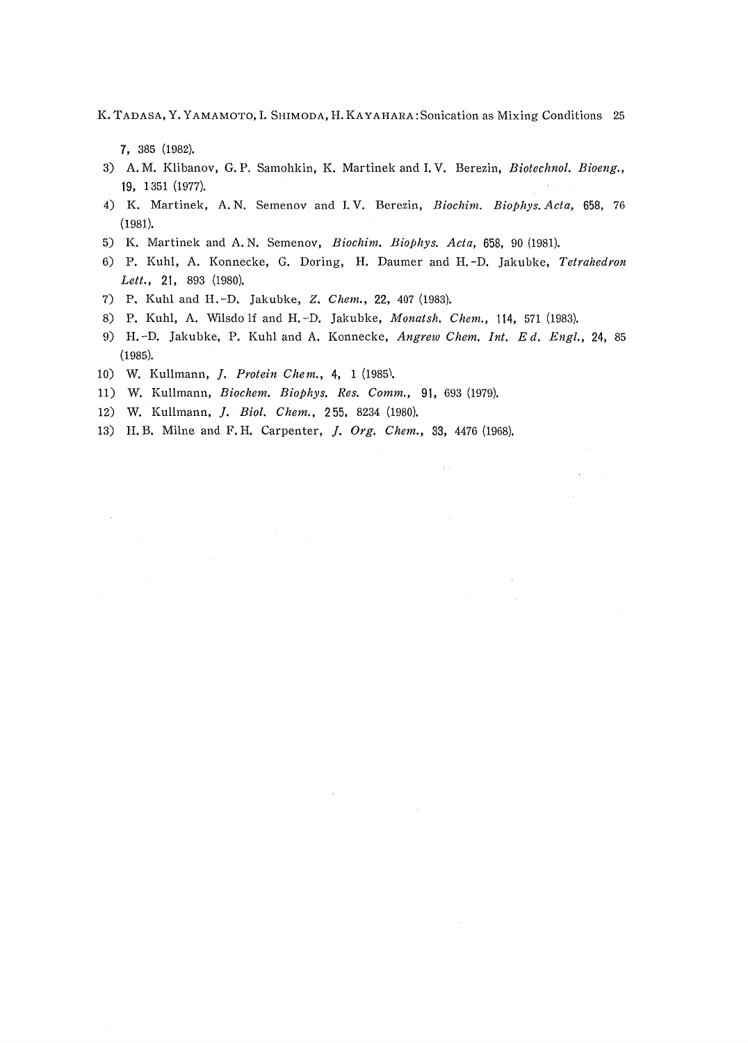K. TADASA, Y. YAMAMOTO, I. SHIMODA, H. KAYAHARA: Sonication as Mixing Conditions 25

7, 385 (1982).

- 3) A.M. Klibanov, G.P. Samohkin, K. Martinek and I.V. Berezin, Biotechnol. Bioeng., 19, 1351 (1977).<br> ' 4) K. Martinek, A.N. Semenov and I.V. Berezin, *Biochim. Biophys. Acta*, 658, 76
- (1981).
- 5) K. Martinek and A.N. Semenov, Biochim. Biophys. Acta, 658, 90 (1981).
- 6) P. Kuh!, A. Konnecke, G. Doring, H. Daumer and H.-D. Jakubke, Tetrahedron Lett., 21, 893 (1980).
- 7) P. Kuhl and H.-D. Jakubke, Z. Chem., 22, 407 (1983).
- 8) P. Kuhl, A. Wilsdolf and H.-D. Jakubke, Monatsh. Chem., 114, 571 (1983).
- 9) H.-D. Jakubke, P. Kuhl and A. Konnecke, Angrew Chem. Int. Ed. Engl., 24, 85 (1985).
- 10) W. Kullmann, J. Protein Chem., 4, 1 (1985).
- 11) W. Kullmann, Biochem. Biophys. Res. Comm., 91, 693 (1979).
- 12) W. Kullrnann, J. Biol. Chem., 255, 8234 (1980),
- 13) H.B. Milne and F.H. Carpenter, J. Org. Chem,, 33, 4476 (1968),